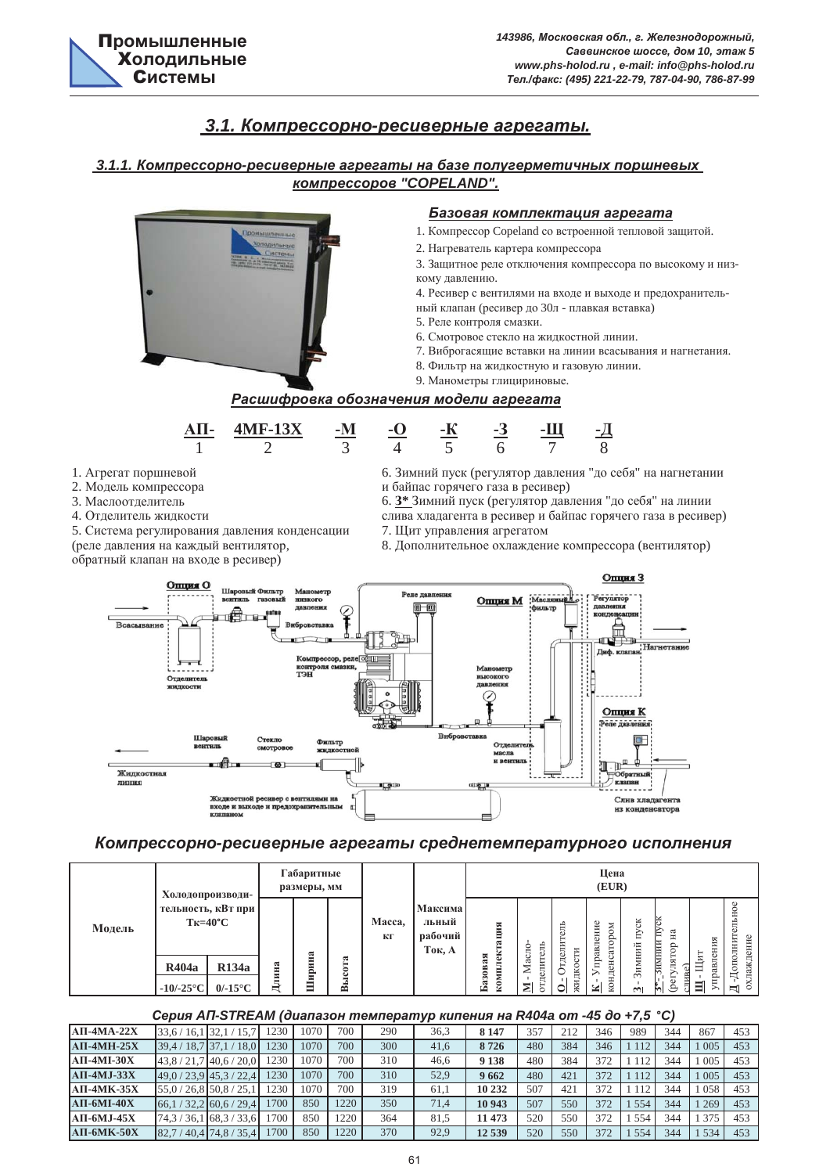# *з.1. Компрессорно-ресиверные агрегаты.*

## $3.1.1.$  **Компрессорно-ресиверные агрегаты на базе полугерметичных поршневых**  $$





## Компрессорно-ресиверные агрегаты среднетемпературного исполнения

|                                           |                                                       |           |               |                                             |                                       |                |                         |                             | Цена                                   |                       |                      |                       |                             |
|-------------------------------------------|-------------------------------------------------------|-----------|---------------|---------------------------------------------|---------------------------------------|----------------|-------------------------|-----------------------------|----------------------------------------|-----------------------|----------------------|-----------------------|-----------------------------|
| тельность, кВт при<br>$T_{K=40^{\circ}C}$ |                                                       | $\approx$ | ಡ             | Macca,<br>КГ                                | Максима<br>льный<br>рабочий<br>Ток, А | ация<br>č<br>ᆽ | тель<br>c               |                             | ние<br>$_{\rm SM}$<br>ę<br>⊢<br>ದ<br>c | ČК<br>È               | ದ<br>⊨<br>உ          | ₩<br>Ħ<br>13          | ельное<br>ополнит<br>ждение |
| R134a<br>R404a                            | Ę                                                     |           | င်<br>ā       |                                             |                                       | <b>a30B</b>    | Σ<br>дел                |                             | $\overline{\omega}$                    |                       | H,                   | ⋍<br>ದ<br>Ě           | охла:<br>$\Box$             |
|                                           | Холодопроизводи-<br>$0/-15^{\circ}$ C<br>$-10/-25$ °C | ина<br>⊨  | E<br>нри<br>Ξ | Габаритные<br>размеры, мм<br>⊨<br>$\approx$ |                                       |                | ಷ<br><b>KOMILJ</b><br>F | aсл<br>Ξ<br>$5\sigma$<br>≅l | <b>)</b> тдели<br>жидкости<br>○        | правлен<br>конд<br>⊻ା | (EUR)<br>Зимний<br>m | <u>иинии</u><br>ibel. | жщ                          |

#### $Cepus A⊓-STREAM (∂uanазон температур кипения на R404a om -45 до +7,5 °C)$

| $AII-4MA-22X$  | 33.6/16.1               | 132.1<br>15.1              | 230  | 070  | 700  | 290 | 36,3 | 8 1 4 7 | 357 | 212 | 346 | 989 | 344 | 867 | 453 |
|----------------|-------------------------|----------------------------|------|------|------|-----|------|---------|-----|-----|-----|-----|-----|-----|-----|
| $ATI-4MH-25X$  | 39.4/                   | (18.7137.1)<br>18.0        | '230 | 1070 | 700  | 300 | 41,6 | 8726    | 480 | 384 | 346 | 112 | 344 | 005 | 453 |
| $AII-4MI-30X$  |                         | $43,8/21,7$ $40,6/20,0$    | 230  | 070  | 700  | 310 | 46.6 | 9 1 3 8 | 480 | 384 | 372 | 112 | 344 | 005 | 453 |
| $A$ II-4MJ-33X |                         | $149.0 / 23.9$ 45.3 / 22.4 | 230  | 1070 | 700  | 310 | 52,9 | 9662    | 480 | 421 | 372 | 112 | 344 | 005 | 453 |
| $AII-4MK-35X$  | $55,0/26,8$ 50,8 / 25,1 |                            | 230  | 070  | 700  | 319 | 61.1 | 10 232  | 507 | 421 | 372 | 112 | 344 | 058 | 453 |
| $AII-6MI-40X$  | <b>66.1</b>             | (32.2160.6/29.4)           | 1700 | 850  | 1220 | 350 | 71,4 | 10 943  | 507 | 550 | 372 | 554 | 344 | 269 | 453 |
| $AII-6MJ-45X$  | 74.3/36.1               | 68,3/33,6                  | '700 | 850  | 220  | 364 | 81.5 | 1473    | 520 | 550 | 372 | 554 | 344 | 375 | 453 |
| $AII-6MK-50X$  | 82.7                    | $40,4$ 74,8 / 35,4         | 1700 | 850  | 1220 | 370 | 92,9 | 12539   | 520 | 550 | 372 | 554 | 344 | 534 | 453 |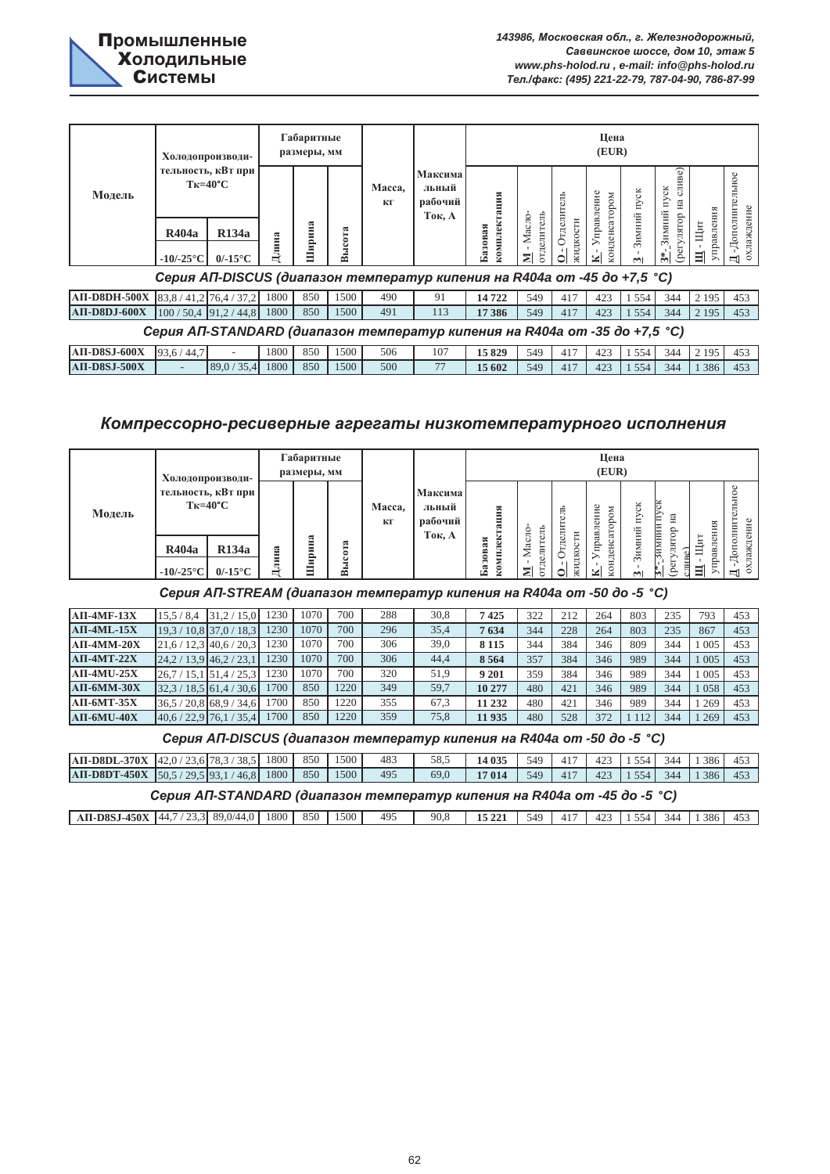

|                     | Холодопроизводи-                                                                                               |       | Габаритные<br>размеры, мм |            |              |                                       |                                         |                           |                                   | Цена<br>(EUR)                        |                          |                                                                            |                        |                                                 |
|---------------------|----------------------------------------------------------------------------------------------------------------|-------|---------------------------|------------|--------------|---------------------------------------|-----------------------------------------|---------------------------|-----------------------------------|--------------------------------------|--------------------------|----------------------------------------------------------------------------|------------------------|-------------------------------------------------|
| Модель              | тельность, кВт при<br>$T_{K=40^{\circ}C}$<br><b>R134a</b><br><b>R404a</b><br>$-10/-25$ °C<br>$0/-15^{\circ}$ C | Длина | ಷ<br>Ξ<br>щон<br>Ξ        | ысота<br>☎ | Macca,<br>КГ | Максима<br>льный<br>рабочий<br>Ток, А | мплектация<br>Базовая<br>$\overline{8}$ | отделитель<br>Масло-<br>⊠ | Отделитель<br>жидкости<br>$\circ$ | Управление<br>атором<br>конденс<br>⊻ | пуск<br>Зимний<br>$\sim$ | Be)<br>CJIH<br>ن<br>Ξ<br>йμ<br>dorgrr.<br>Austrad<br>Зимн<br>$\frac{1}{2}$ | управления<br>Щит<br>目 | $\circ$<br>-Дополнитель<br>охлаждение<br>$\Box$ |
|                     | Серия АП-DISCUS (диапазон температур кипения на R404a от -45 до +7,5 °С)                                       |       |                           |            |              |                                       |                                         |                           |                                   |                                      |                          |                                                                            |                        |                                                 |
|                     | AII-D8DH-500X 83,8 / 41,2 76,4 / 37,2                                                                          | 1800  | 850                       | 1500       | 490          | 91                                    | 14722                                   | 549                       | 417                               | 423                                  | 554                      | 344                                                                        | 2 1 9 5                | 453                                             |
| <b>АП-D8DJ-600Х</b> | $100/50.4$ 91.2/44.8                                                                                           | 1800  | 850                       | 1500       | 491          | 113                                   | 17 386                                  | 549                       | 417                               | 423                                  | 1 5 5 4                  | 344                                                                        | 2 1 9 5                | 453                                             |

|                                     | Серия AП-STANDARD (диапазон температур кипения на R404a от -35 до +7,5 °С) |                          |          |      |     |     |        |     |  |  |                                           |  |
|-------------------------------------|----------------------------------------------------------------------------|--------------------------|----------|------|-----|-----|--------|-----|--|--|-------------------------------------------|--|
| $\overline{AB-DSSJ-600X}$ 93.6/44.7 |                                                                            |                          | 1800 850 | 1500 | 506 | 107 | 15829  |     |  |  | 549   417   423   1554   344   2195   453 |  |
| АП-D8SJ-500X                        |                                                                            | $89.0 / 35.4$ 1800   850 |          | 1500 | 500 |     | 15 602 | 549 |  |  | $1417$   423   1554   344   1386   453    |  |

# Компрессорно-ресиверные агрегаты низкотемпературного исполнения

|        | Холодопроизводи-                                                                                                              |           | Габаритные<br>размеры, мм |                            |              |                                       |                                                                     |                                          |                                            | Цена<br>(EUR)                                                  |                        |                                                              |                                  |                                                                    |
|--------|-------------------------------------------------------------------------------------------------------------------------------|-----------|---------------------------|----------------------------|--------------|---------------------------------------|---------------------------------------------------------------------|------------------------------------------|--------------------------------------------|----------------------------------------------------------------|------------------------|--------------------------------------------------------------|----------------------------------|--------------------------------------------------------------------|
| Модель | тельность, кВт при<br>$T_{K=40^{\circ}C}$<br>R <sub>134</sub> a<br>R404a<br>$0/-15^{\circ}$ C<br>-10/-25 $\mathrm{^{\circ}C}$ | лина<br>Ħ | ಷ<br>Ξ<br>E,<br>Ξ<br>Ξ    | ಷ<br>⊨<br>১<br>ت<br>Ē<br>≃ | Macca,<br>КГ | Максима<br>льный<br>рабочий<br>Ток, А | ация<br>ѭ<br>ಠ<br>ಷ<br><b>a30B</b><br>≕<br>≥<br>S <sub>0</sub><br>F | Ę<br>Ė<br>O<br>делит<br>₹<br>⋝<br>5<br>⋝ | É<br>тдели<br>EЦ<br>жидкос<br>∽<br>$\circ$ | правление<br>$_{\rm N0}$<br>ಕಿ<br>⊢<br>ದ<br>конденс<br>⋋<br>≌। | čK<br>È<br>Зимний<br>m | ă<br>Ηã<br>⊨<br>имнии<br>≏<br>٥<br>'nЦ<br>ZШ<br>5<br>Ā<br>ŀ٩ | ИЯ<br>ĜН<br>Цит<br>авл<br>Ë<br>目 | льное<br>ОЛНИТ<br>Φ<br>$\mathbf{\underline{I}}$ -до.<br>охлаждение |

 $CepuAAT-STREAM (∂uanазон температур кипения на R404a от -50 do -5 °C)$ 

| $AII-4MF-13X$  | 15.5/8.4                  | 31.2<br>15.0          | 230  | 1070 | 700  | 288 | 30,8 | 7425    | 322 | 212 | 264 | 803 | 235 | 793 | 453 |
|----------------|---------------------------|-----------------------|------|------|------|-----|------|---------|-----|-----|-----|-----|-----|-----|-----|
| $ATI-4ML-15X$  | 19.3                      | $10.8$ 37.0 /<br>18,3 | 230  | 1070 | 700  | 296 | 35,4 | 7634    | 344 | 228 | 264 | 803 | 235 | 867 | 453 |
| $AII-4MM-20X$  | $21,6 / 12,3$ 40.6 / 20,3 |                       | 230  | 1070 | 700  | 306 | 39,0 | 8 1 1 5 | 344 | 384 | 346 | 809 | 344 | 005 | 453 |
| $ATI-4MT-22X$  | 24.2                      | $13.9$ 46.2 / 23.1    | '230 | 1070 | 700  | 306 | 44.4 | 8 5 6 4 | 357 | 384 | 346 | 989 | 344 | 005 | 453 |
| $AII-4MU-25X$  | 26.7                      | 51,4/25.5             | 230  | 1070 | 700  | 320 | 51,9 | 9 201   | 359 | 384 | 346 | 989 | 344 | 005 | 453 |
| $AII$ -6MM-30X | 32.3/                     | $18,5$ 61,4 / 30,6    | 1700 | 850  | 220  | 349 | 59,7 | 10 277  | 480 | 421 | 346 | 989 | 344 | 058 | 453 |
| $AII-6MT-35X$  | 36.5/                     | $20.8$ 68.9 / 34.6    | .700 | 850  | 1220 | 355 | 67.3 | 11 232  | 480 | 421 | 346 | 989 | 344 | 269 | 453 |
| $AII-6MU-40X$  | $40.6 / 22.9$ 76.1        | '35.4                 | 1700 | 850  | 1220 | 359 | 75.8 | 11935   | 480 | 528 | 372 |     | 344 | 269 | 453 |

 $CepuA$  *AΠ-DISCUS (диапазон температур кипения на R404a om -50 до -5 °С)* 

| $\text{AII-D8DL-370X}$ $\left[42,0/23,6\right]78,3/38,5$ 1800   850                     |                                                                                                       |  |  |  | 1500 | 483 | 58.5 | 14 035 |  |  |  |  |  | 549 417 423 1554 344 1386 453 |     |
|-----------------------------------------------------------------------------------------|-------------------------------------------------------------------------------------------------------|--|--|--|------|-----|------|--------|--|--|--|--|--|-------------------------------|-----|
| <b>AII-D8DT-450X</b> $\begin{bmatrix} 50.5/29.5 & 93.1/46.8 & 1800 & 850 \end{bmatrix}$ |                                                                                                       |  |  |  | 1500 | 495 | 69.0 | 17014  |  |  |  |  |  |                               | 453 |
|                                                                                         | 549 417 423 1554 344 1386<br>Серия АП-STANDARD (диапазон температур кипения на R404a от -45 до -5 °С) |  |  |  |      |     |      |        |  |  |  |  |  |                               |     |

| <b>AII-D8SJ-450X</b> | -44<br>ر. رے<br>᠇., | $\circ$<br>$U^{4}$<br>т. с<br>. . | 1800 | 850 | 500<br>.JUU | 495 | 90.8 | $\bullet$ = $\bullet$ $\bullet$<br>∸ | 549 | $\sim$<br>「∸ | ħД | -44 | 386 | т. |
|----------------------|---------------------|-----------------------------------|------|-----|-------------|-----|------|--------------------------------------|-----|--------------|----|-----|-----|----|
|                      |                     |                                   |      |     |             |     |      |                                      |     |              |    |     |     |    |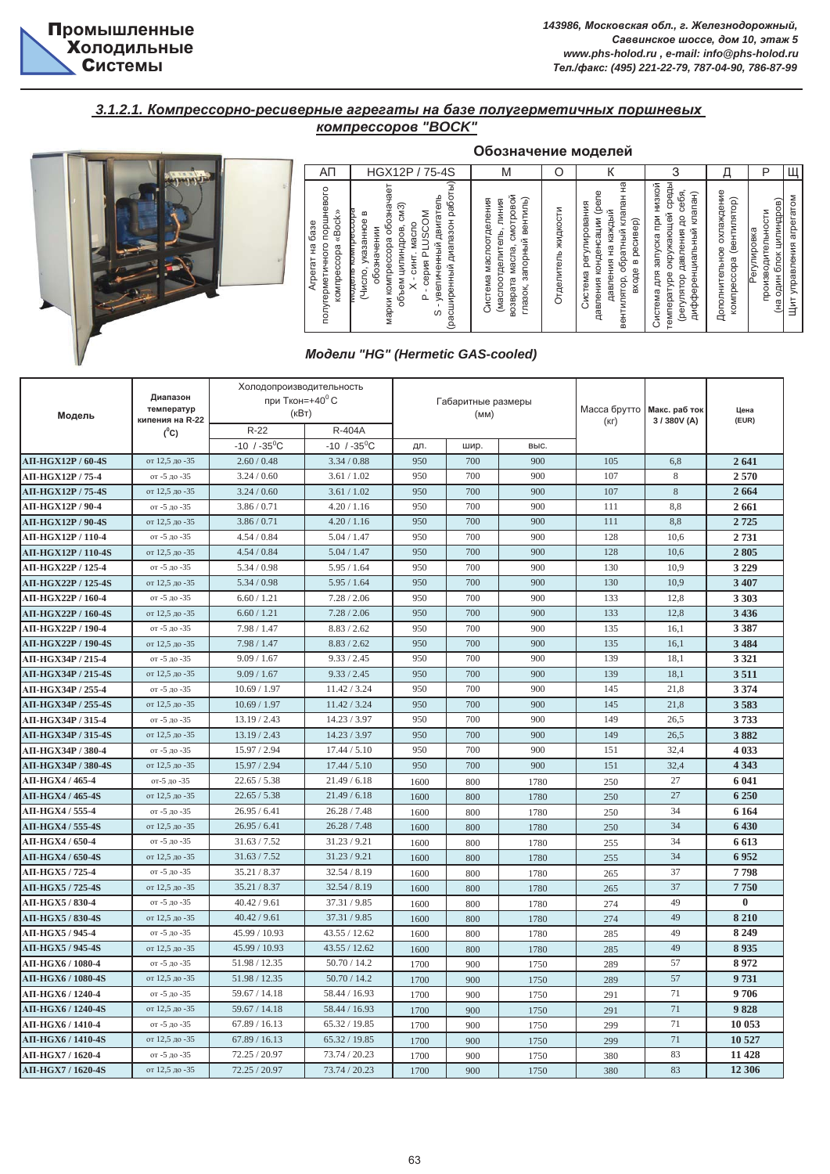

#### **3.1.2.1. Компрессорно-ресиверные агрегаты на базе полугерметичных поршневых**  $$



|                                                                                                  |                                                                                                                                                                                                                                                                                                  | Обозначение моделей                                                                                                          |                        |                                                                                                                                                                |                                                                                                                                                       |                                                                    |                                                                                 |                                           |
|--------------------------------------------------------------------------------------------------|--------------------------------------------------------------------------------------------------------------------------------------------------------------------------------------------------------------------------------------------------------------------------------------------------|------------------------------------------------------------------------------------------------------------------------------|------------------------|----------------------------------------------------------------------------------------------------------------------------------------------------------------|-------------------------------------------------------------------------------------------------------------------------------------------------------|--------------------------------------------------------------------|---------------------------------------------------------------------------------|-------------------------------------------|
| АΠ                                                                                               | HGX12P / 75-4S                                                                                                                                                                                                                                                                                   | M                                                                                                                            |                        |                                                                                                                                                                | 3                                                                                                                                                     |                                                                    | F                                                                               |                                           |
| поршневого<br>«Bock»<br>ඝ<br>ιÓ<br>полугерметичного<br>kowubeccoba<br>오<br>ㅎ<br>Àгр <del>і</del> | ੨<br>обозначает<br>работ<br>двигатель<br>CM3)<br>≃<br><b>USCOM</b><br>указанное<br>диапазон<br>Macho<br>цилиндров,<br>значении<br>марки компрессора<br>увеличенный<br><b>Filmin</b><br>cepus <sub>P</sub><br><b>CMHT</b><br>(расширенный<br>(Число,<br>oбo<br>are Hour<br>объем<br>$\Omega$<br>S | смотровой<br>вентиль)<br>маслоотделения<br>линия<br>(маслоотделитель,<br>запорный<br>Macna<br>Система<br>возврата<br>глазок, | жидкости<br>Этделитель | нa<br>давления конденсации (реле<br>обратный клапан<br>регулирования<br>каждый<br>ресивер)<br>옆<br>давления<br>$\bf{m}$<br>входе<br>Система<br>٠<br>вентилятор | среды<br>низкой<br>клапан)<br>себя<br>окружающей<br>запуска при<br>q<br>дифференциальный<br>давления<br>E<br>E<br>ewneparype<br>dorkuvlad)<br>Система | охлаждение<br>(вентилятор)<br><b>Дополнительное</b><br>компрессора | <u>цилиндров)</u><br>троизводительности<br>Регулировка<br>блок<br>один (<br>œн) | <b>TOM</b><br>arpera<br>управления<br>Щит |

#### $M$ одели "HG" (Hermetic GAS-cooled)

| Модель             | Диапазон<br>температур     | Холодопроизводительность<br>при Ткон=+40 $^{\circ}$ С<br>(кВт) |                         |      | Габаритные размеры<br>(MM) |      | Масса брутто Макс. раб ток |            | Цена     |
|--------------------|----------------------------|----------------------------------------------------------------|-------------------------|------|----------------------------|------|----------------------------|------------|----------|
|                    | кипения на R-22<br>$(^0C)$ | $R-22$                                                         | R-404A                  |      |                            |      | (KF)                       | 3/380V (A) | (EUR)    |
|                    |                            | $-10$ / $-35$ <sup>o</sup> C                                   | $-10$ / $-35^{\circ}$ C | ДЛ.  | шир.                       | выс. |                            |            |          |
| АП-НGX12Р / 60-4S  | от 12.5 до -35             | 2.60 / 0.48                                                    | 3.34/0.88               | 950  | 700                        | 900  | 105                        | 6,8        | 2641     |
| АП-НGX12Р / 75-4   | от -5 до -35               | 3.24 / 0.60                                                    | 3.61 / 1.02             | 950  | 700                        | 900  | 107                        | 8          | 2570     |
| АП-НGX12P / 75-4S  | от 12.5 до -35             | 3.24 / 0.60                                                    | 3.61 / 1.02             | 950  | 700                        | 900  | 107                        | 8          | 2664     |
| АП-НGX12Р / 90-4   | от -5 до -35               | 3.86 / 0.71                                                    | 4.20 / 1.16             | 950  | 700                        | 900  | 111                        | 8,8        | 2661     |
| АП-НGX12Р / 90-4S  | от 12,5 до -35             | 3.86 / 0.71                                                    | 4.20 / 1.16             | 950  | 700                        | 900  | 111                        | 8,8        | 2725     |
| АП-НGX12Р / 110-4  | от -5 до -35               | 4.54 / 0.84                                                    | 5.04 / 1.47             | 950  | 700                        | 900  | 128                        | 10,6       | 2731     |
| АП-НGX12Р / 110-4S | от 12,5 до -35             | 4.54 / 0.84                                                    | 5.04 / 1.47             | 950  | 700                        | 900  | 128                        | 10,6       | 2805     |
| АП-НGX22Р / 125-4  | от -5 до -35               | 5.34/0.98                                                      | 5.95/1.64               | 950  | 700                        | 900  | 130                        | 10.9       | 3 2 2 9  |
| АП-НGX22P / 125-4S | от 12.5 до -35             | 5.34/0.98                                                      | 5.95/1.64               | 950  | 700                        | 900  | 130                        | 10.9       | 3 407    |
| АП-НGX22P / 160-4  | от -5 до -35               | 6.60 / 1.21                                                    | 7.28 / 2.06             | 950  | 700                        | 900  | 133                        | 12,8       | 3 3 0 3  |
| АП-НGX22P / 160-4S | от 12.5 до -35             | 6.60 / 1.21                                                    | 7.28 / 2.06             | 950  | 700                        | 900  | 133                        | 12.8       | 3 4 3 6  |
| АП-НGX22P / 190-4  | от -5 до -35               | 7.98 / 1.47                                                    | 8.83 / 2.62             | 950  | 700                        | 900  | 135                        | 16.1       | 3 3 8 7  |
| АП-НGX22Р / 190-4S | от 12,5 до -35             | 7.98 / 1.47                                                    | 8.83 / 2.62             | 950  | 700                        | 900  | 135                        | 16,1       | 3 4 8 4  |
| АП-НGX34P / 215-4  | от -5 до -35               | 9.09 / 1.67                                                    | 9.33 / 2.45             | 950  | 700                        | 900  | 139                        | 18,1       | 3 3 2 1  |
| АП-НGХ34Р / 215-4S | от 12,5 до -35             | 9.09 / 1.67                                                    | 9.33 / 2.45             | 950  | 700                        | 900  | 139                        | 18,1       | 3511     |
| АП-НGХ34Р / 255-4  | от -5 до -35               | 10.69 / 1.97                                                   | 11.42 / 3.24            | 950  | 700                        | 900  | 145                        | 21,8       | 3 3 7 4  |
| АП-НGX34P / 255-4S | от 12.5 до -35             | 10.69 / 1.97                                                   | 11.42 / 3.24            | 950  | 700                        | 900  | 145                        | 21.8       | 3583     |
| АП-НGХ34Р / 315-4  | от -5 до -35               | 13.19 / 2.43                                                   | 14.23 / 3.97            | 950  | 700                        | 900  | 149                        | 26,5       | 3733     |
| АП-НGX34P / 315-4S | от 12.5 до -35             | 13.19 / 2.43                                                   | 14.23 / 3.97            | 950  | 700                        | 900  | 149                        | 26.5       | 3882     |
| АП-НGХ34Р / 380-4  | от -5 до -35               | 15.97 / 2.94                                                   | 17.44 / 5.10            | 950  | 700                        | 900  | 151                        | 32.4       | 4 0 3 3  |
| АП-НGX34P / 380-4S | от 12,5 до -35             | 15.97 / 2.94                                                   | 17.44 / 5.10            | 950  | 700                        | 900  | 151                        | 32,4       | 4 3 4 3  |
| AII-HGX4 / 465-4   | от-5 до -35                | 22.65 / 5.38                                                   | 21.49 / 6.18            | 1600 | 800                        | 1780 | 250                        | 27         | 6 041    |
| АП-НGX4 / 465-4S   | от 12,5 до -35             | 22.65 / 5.38                                                   | 21.49 / 6.18            | 1600 | 800                        | 1780 | 250                        | 27         | 6 250    |
| АП-НGX4 / 555-4    | от -5 до -35               | 26.95 / 6.41                                                   | 26.28 / 7.48            | 1600 | 800                        | 1780 | 250                        | 34         | 6 1 6 4  |
| АП-НGX4 / 555-4S   | от 12.5 до -35             | 26.95 / 6.41                                                   | 26.28 / 7.48            | 1600 | 800                        | 1780 | 250                        | 34         | 6430     |
| АП-НGX4 / 650-4    | от -5 до -35               | 31.63 / 7.52                                                   | 31.23 / 9.21            | 1600 | 800                        | 1780 | 255                        | 34         | 6613     |
| АП-НGX4 / 650-4S   | от 12.5 до -35             | 31.63 / 7.52                                                   | 31.23 / 9.21            | 1600 | 800                        | 1780 | 255                        | 34         | 6952     |
| АП-НGX5 / 725-4    | от -5 до -35               | 35.21 / 8.37                                                   | 32.54 / 8.19            | 1600 | 800                        | 1780 | 265                        | 37         | 7798     |
| АП-НGX5 / 725-4S   | от 12,5 до -35             | 35.21 / 8.37                                                   | 32.54 / 8.19            | 1600 | 800                        | 1780 | 265                        | 37         | 7750     |
| AII-HGX5 / 830-4   | от -5 до -35               | 40.42 / 9.61                                                   | 37.31 / 9.85            | 1600 | 800                        | 1780 | 274                        | 49         | $\bf{0}$ |
| АП-НGX5 / 830-4S   | от 12,5 до -35             | 40.42 / 9.61                                                   | 37.31 / 9.85            | 1600 | 800                        | 1780 | 274                        | 49         | 8 2 1 0  |
| AII-HGX5 / 945-4   | от -5 до -35               | 45.99 / 10.93                                                  | 43.55 / 12.62           | 1600 | 800                        | 1780 | 285                        | 49         | 8 2 4 9  |
| АП-НGX5 / 945-4S   | от 12,5 до -35             | 45.99 / 10.93                                                  | 43.55 / 12.62           | 1600 | 800                        | 1780 | 285                        | 49         | 8935     |
| АП-НGX6 / 1080-4   | от -5 до -35               | 51.98 / 12.35                                                  | 50.70 / 14.2            | 1700 | 900                        | 1750 | 289                        | 57         | 8972     |
| АП-НGX6 / 1080-4S  | от 12.5 до -35             | 51.98 / 12.35                                                  | 50.70 / 14.2            | 1700 | 900                        | 1750 | 289                        | 57         | 9731     |
| АП-НGX6 / 1240-4   | от -5 до -35               | 59.67 / 14.18                                                  | 58.44 / 16.93           | 1700 | 900                        | 1750 | 291                        | 71         | 9706     |
| АП-НGX6 / 1240-4S  | от 12.5 до -35             | 59.67 / 14.18                                                  | 58.44 / 16.93           | 1700 | 900                        | 1750 | 291                        | 71         | 9828     |
| АП-НGX6 / 1410-4   | от -5 до -35               | 67.89 / 16.13                                                  | 65.32 / 19.85           | 1700 | 900                        | 1750 | 299                        | 71         | 10 053   |
| АП-НGX6 / 1410-4S  | от 12,5 до -35             | 67.89 / 16.13                                                  | 65.32 / 19.85           | 1700 | 900                        | 1750 | 299                        | 71         | 10 527   |
| АП-НGX7 / 1620-4   | от -5 до -35               | 72.25 / 20.97                                                  | 73.74 / 20.23           | 1700 | 900                        | 1750 | 380                        | 83         | 11 428   |
| АП-НGX7 / 1620-4S  | от 12,5 до -35             | 72.25 / 20.97                                                  | 73.74 / 20.23           | 1700 | 900                        | 1750 | 380                        | 83         | 12 30 6  |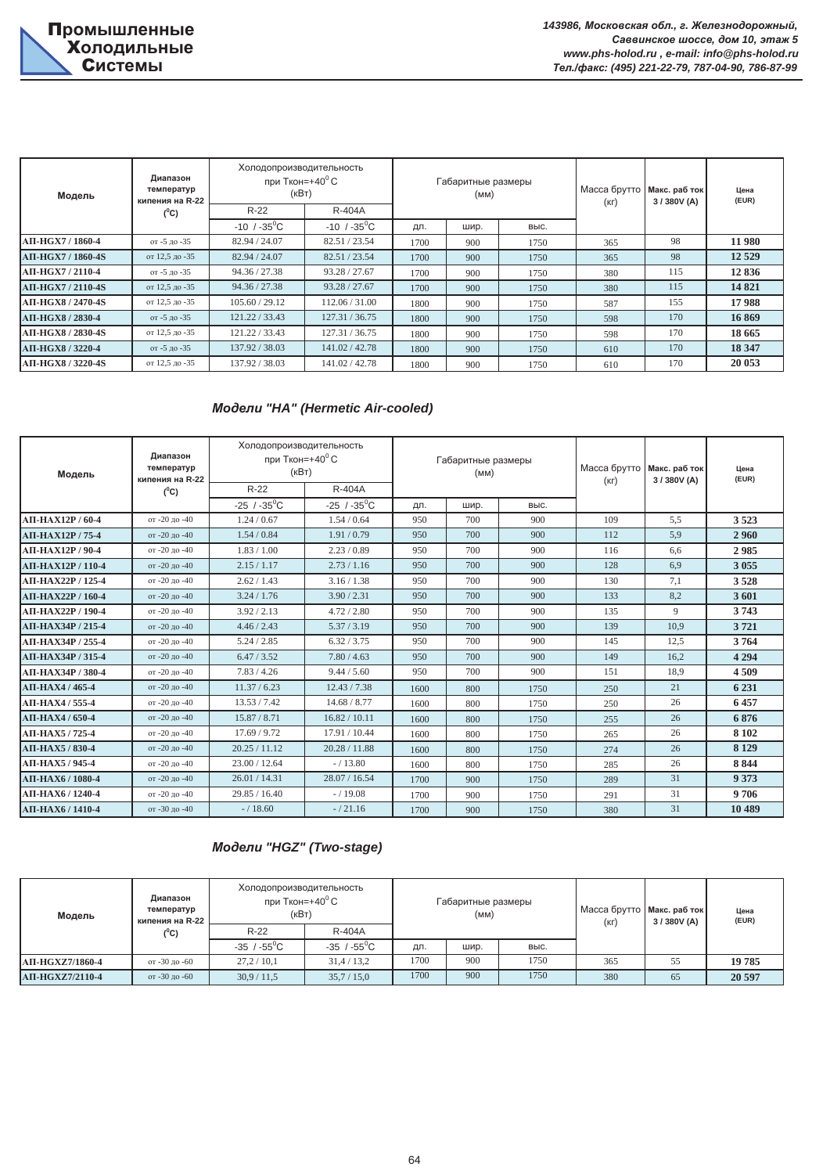| Модель            | Диапазон<br>температур<br>кипения на R-22 | Холодопроизводительность<br>при Ткон=+40 $\mathrm{^0 C}$<br>(KBT) |                              |      | Габаритные размеры<br>(MM) |      | Масса брутто Макс. раб ток<br>(KF) | 3/380V(A) | Цена<br>(EUR) |
|-------------------|-------------------------------------------|-------------------------------------------------------------------|------------------------------|------|----------------------------|------|------------------------------------|-----------|---------------|
|                   | $(^0C)$                                   | $R-22$                                                            | R-404A                       |      |                            |      |                                    |           |               |
|                   |                                           | $-10$ / $-35$ <sup>o</sup> C                                      | $-10$ / $-35$ <sup>o</sup> C | ДЛ.  | шир.                       | выс. |                                    |           |               |
| AП-НGX7 / 1860-4  | от -5 до -35                              | 82.94 / 24.07                                                     | 82.51 / 23.54                | 1700 | 900                        | 1750 | 365                                | 98        | 11 980        |
| АП-НGX7 / 1860-4S | от 12,5 до -35                            | 82.94 / 24.07                                                     | 82.51/23.54                  | 1700 | 900                        | 1750 | 365                                | 98        | 12 5 29       |
| АП-НGX7 / 2110-4  | от -5 до -35                              | 94.36 / 27.38                                                     | 93.28 / 27.67                | 1700 | 900                        | 1750 | 380                                | 115       | 12836         |
| АП-НGX7 / 2110-4S | от 12,5 до -35                            | 94.36 / 27.38                                                     | 93.28 / 27.67                | 1700 | 900                        | 1750 | 380                                | 115       | 14821         |
| AП-НGX8 / 2470-4S | от 12,5 до -35                            | 105.60 / 29.12                                                    | 112.06 / 31.00               | 1800 | 900                        | 1750 | 587                                | 155       | 17988         |
| АП-НGX8 / 2830-4  | от -5 до -35                              | 121.22/33.43                                                      | 127.31 / 36.75               | 1800 | 900                        | 1750 | 598                                | 170       | 16869         |
| АП-НGX8 / 2830-4S | от 12,5 до -35                            | 121.22 / 33.43                                                    | 127.31 / 36.75               | 1800 | 900                        | 1750 | 598                                | 170       | 18 6 65       |
| АП-НGX8 / 3220-4  | от -5 до -35                              | 137.92 / 38.03                                                    | 141.02/42.78                 | 1800 | 900                        | 1750 | 610                                | 170       | 18 347        |
| AП-HGX8 / 3220-4S | от 12,5 до -35                            | 137.92 / 38.03                                                    | 141.02 / 42.78               | 1800 | 900                        | 1750 | 610                                | 170       | 20 053        |

## *Ɇɨɞɟɥɢ "HA" (Hermetic Air-cooled)*

| Модель            | Диапазон<br>температур<br>кипения на R-22 | Холодопроизводительность<br>при Ткон=+40 $^{\circ}$ С<br>(кВт) |                           |      | Габаритные размеры<br>(MM) |      | Масса брутто<br>(KF) | Макс. раб ток<br>3/380V(A) | Цена<br>(EUR) |
|-------------------|-------------------------------------------|----------------------------------------------------------------|---------------------------|------|----------------------------|------|----------------------|----------------------------|---------------|
|                   | $(^0C)$                                   | $R-22$                                                         | R-404A                    |      |                            |      |                      |                            |               |
|                   |                                           | $-25$ / $-35$ <sup>0</sup> C                                   | $-25/ -35$ <sup>0</sup> C | ДЛ.  | шир.                       | выс. |                      |                            |               |
| АП-НАХ12Р / 60-4  | от -20 до -40                             | 1.24 / 0.67                                                    | 1.54/0.64                 | 950  | 700                        | 900  | 109                  | 5,5                        | 3523          |
| АП-НАХ12Р / 75-4  | от -20 до -40                             | 1.54/0.84                                                      | 1.91/0.79                 | 950  | 700                        | 900  | 112                  | 5,9                        | 2960          |
| АП-НАХ12Р / 90-4  | от -20 до -40                             | 1.83 / 1.00                                                    | 2.23/0.89                 | 950  | 700                        | 900  | 116                  | 6.6                        | 2985          |
| АП-НАХ12Р / 110-4 | от -20 до -40                             | 2.15/1.17                                                      | 2.73/1.16                 | 950  | 700                        | 900  | 128                  | 6.9                        | 3 0 5 5       |
| АП-НАХ22Р / 125-4 | от -20 до -40                             | 2.62 / 1.43                                                    | 3.16 / 1.38               | 950  | 700                        | 900  | 130                  | 7,1                        | 3528          |
| АП-НАХ22Р / 160-4 | от -20 до -40                             | 3.24 / 1.76                                                    | 3.90 / 2.31               | 950  | 700                        | 900  | 133                  | 8,2                        | 3601          |
| АП-НАХ22Р / 190-4 | от -20 до -40                             | 3.92 / 2.13                                                    | 4.72 / 2.80               | 950  | 700                        | 900  | 135                  | 9                          | 3743          |
| АП-НАХЗ4Р / 215-4 | от -20 до -40                             | 4.46 / 2.43                                                    | 5.37/3.19                 | 950  | 700                        | 900  | 139                  | 10.9                       | 3721          |
| АП-НАХЗ4Р / 255-4 | от -20 до -40                             | 5.24 / 2.85                                                    | 6.32 / 3.75               | 950  | 700                        | 900  | 145                  | 12,5                       | 3764          |
| АП-НАХЗ4Р / 315-4 | от -20 до -40                             | 6.47 / 3.52                                                    | 7.80 / 4.63               | 950  | 700                        | 900  | 149                  | 16.2                       | 4 2 9 4       |
| АП-НАХЗ4Р / 380-4 | от -20 до -40                             | 7.83 / 4.26                                                    | 9.44 / 5.60               | 950  | 700                        | 900  | 151                  | 18,9                       | 4509          |
| АП-НАХ4 / 465-4   | от -20 до -40                             | 11.37 / 6.23                                                   | 12.43 / 7.38              | 1600 | 800                        | 1750 | 250                  | 21                         | 6 2 3 1       |
| АП-НАХ4 / 555-4   | от -20 до -40                             | 13.53 / 7.42                                                   | 14.68 / 8.77              | 1600 | 800                        | 1750 | 250                  | 26                         | 6457          |
| АП-НАХ4 / 650-4   | от -20 до -40                             | 15.87 / 8.71                                                   | 16.82 / 10.11             | 1600 | 800                        | 1750 | 255                  | 26                         | 6876          |
| АП-НАХ5 / 725-4   | от -20 до -40                             | 17.69 / 9.72                                                   | 17.91 / 10.44             | 1600 | 800                        | 1750 | 265                  | 26                         | 8 1 0 2       |
| $ATI-HAX5/830-4$  | от -20 до -40                             | 20.25 / 11.12                                                  | 20.28 / 11.88             | 1600 | 800                        | 1750 | 274                  | 26                         | 8 1 29        |
| АП-НАХ5 / 945-4   | от -20 до -40                             | 23.00 / 12.64                                                  | $-/13.80$                 | 1600 | 800                        | 1750 | 285                  | 26                         | 8 8 4 4       |
| АП-НАХ6 / 1080-4  | от -20 до -40                             | 26.01 / 14.31                                                  | 28.07 / 16.54             | 1700 | 900                        | 1750 | 289                  | 31                         | 9 3 7 3       |
| АП-НАХ6 / 1240-4  | от -20 до -40                             | 29.85 / 16.40                                                  | $- / 19.08$               | 1700 | 900                        | 1750 | 291                  | 31                         | 9706          |
| АП-НАХ6 / 1410-4  | от -30 до -40                             | $- / 18.60$                                                    | $-/21.16$                 | 1700 | 900                        | 1750 | 380                  | 31                         | 10 489        |

# *Модели "HGZ" (Two-stage)*

| Модель                 | Диапазон<br>температур<br>кипения на R-22 | Холодопроизводительность<br>при Ткон=+40 $\rm ^{0}$ С<br>(KBT) |                       | Габаритные размеры<br>(MM) |      | Масса брутто Макс. раб ток<br>$(K \Gamma)$ | 3/380V(A) | Цена<br>(EUR) |        |
|------------------------|-------------------------------------------|----------------------------------------------------------------|-----------------------|----------------------------|------|--------------------------------------------|-----------|---------------|--------|
|                        | (°C)                                      | $R-22$                                                         | R-404A                |                            |      |                                            |           |               |        |
|                        |                                           | $-35$ / $-55$ <sup>0</sup> C                                   | $-35 / -55^{\circ}$ C | ДΠ.                        | шир. | BЫC.                                       |           |               |        |
| <b>АП-НGXZ7/1860-4</b> | от -30 до -60                             | 27.2 / 10.1                                                    | 31,4/13,2             | 1700                       | 900  | 1750                                       | 365       | 55            | 19785  |
| <b>АП-HGXZ7/2110-4</b> | от -30 до -60                             | 30.9 / 11.5                                                    | 35,7/15,0             | 1700                       | 900  | 1750                                       | 380       | 65            | 20 597 |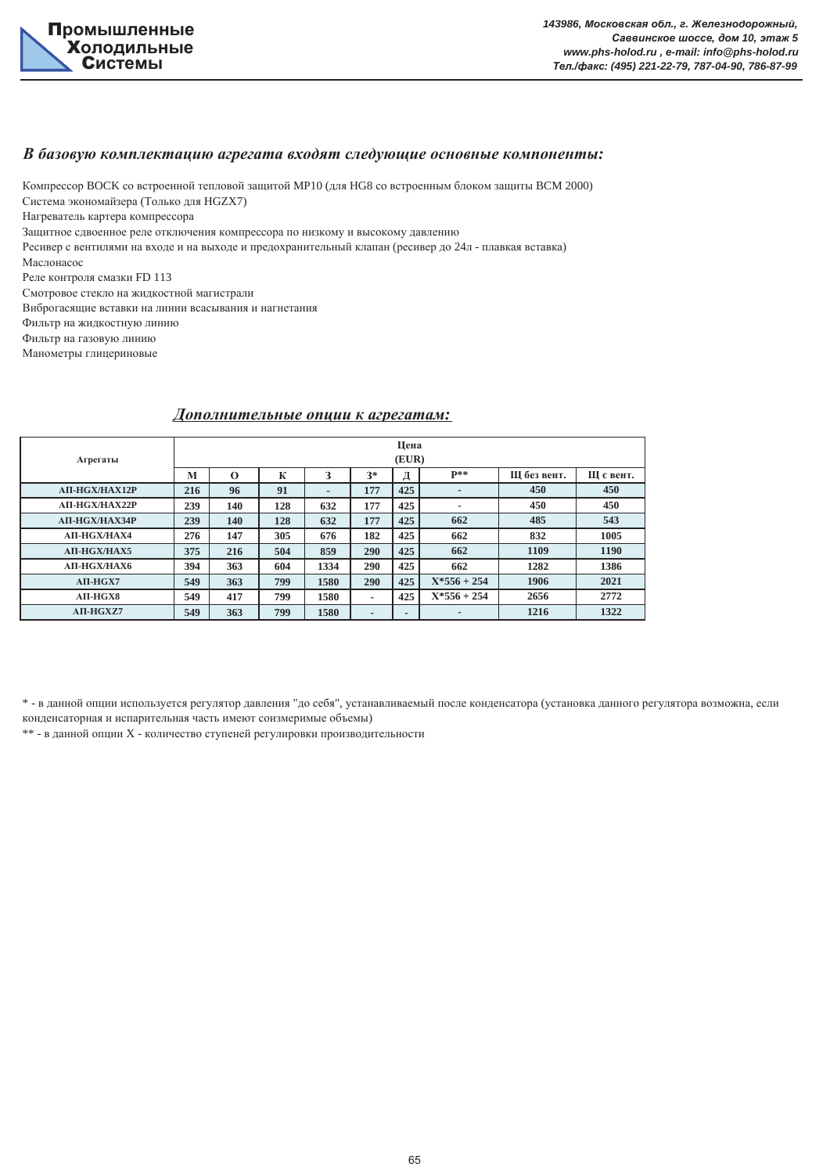

#### $B$  базовую комплектацию агрегата входят следующие основные компоненты:

Компрессор ВОСК со встроенной тепловой защитой МР10 (для HG8 со встроенным блоком защиты BCM 2000) Система экономайзера (Только для HGZX7)

Нагреватель картера компрессора

Защитное сдвоенное реле отключения компрессора по низкому и высокому давлению

Ресивер с вентилями на входе и на выходе и предохранительный клапан (ресивер до 24л - плавкая вставка)

Маслонасос

Реле контроля смазки FD 113

Смотровое стекло на жидкостной магистрали

Виброгасящие вставки на линии всасывания и нагнетания

Фильтр на жидкостную линию

Фильтр на газовую линию

Манометры глицериновые

### $\Lambda$ ополнительные опции к агрегатам:

| Агрегаты              |     |          |     |                |                          | Цена<br>(EUR)            |                          |             |           |
|-----------------------|-----|----------|-----|----------------|--------------------------|--------------------------|--------------------------|-------------|-----------|
|                       | M   | $\Omega$ | К   | 3              | $3*$                     | Д                        | $P**$                    | Ш без вент. | Ш с вент. |
| <b>AII-HGX/HAX12P</b> | 216 | 96       | 91  | $\blacksquare$ | 177                      | 425                      | $\overline{\phantom{a}}$ | 450         | 450       |
| <b>АП-НGX/НАХ22Р</b>  | 239 | 140      | 128 | 632            | 177                      | 425                      |                          | 450         | 450       |
| <b>AII-HGX/HAX34P</b> | 239 | 140      | 128 | 632            | 177                      | 425                      | 662                      | 485         | 543       |
| <b>AII-HGX/HAX4</b>   | 276 | 147      | 305 | 676            | 182                      | 425                      | 662                      | 832         | 1005      |
| <b>AII-HGX/HAX5</b>   | 375 | 216      | 504 | 859            | 290                      | 425                      | 662                      | 1109        | 1190      |
| <b>AII-HGX/HAX6</b>   | 394 | 363      | 604 | 1334           | 290                      | 425                      | 662                      | 1282        | 1386      |
| $AII-HGX7$            | 549 | 363      | 799 | 1580           | 290                      | 425                      | $X*556 + 254$            | 1906        | 2021      |
| $ATI-HGX8$            | 549 | 417      | 799 | 1580           | ٠                        | 425                      | $X*556 + 254$            | 2656        | 2772      |
| AII-HGXZ7             | 549 | 363      | 799 | 1580           | $\overline{\phantom{0}}$ | $\overline{\phantom{a}}$ | $\overline{\phantom{a}}$ | 1216        | 1322      |

\* - в данной опции используется регулятор давления "до себя", устанавливаемый после конденсатора (установка данного регулятора возможна, если конденсаторная и испарительная часть имеют соизмеримые объемы)

 $**$  - в данной опции X - количество ступеней регулировки производительности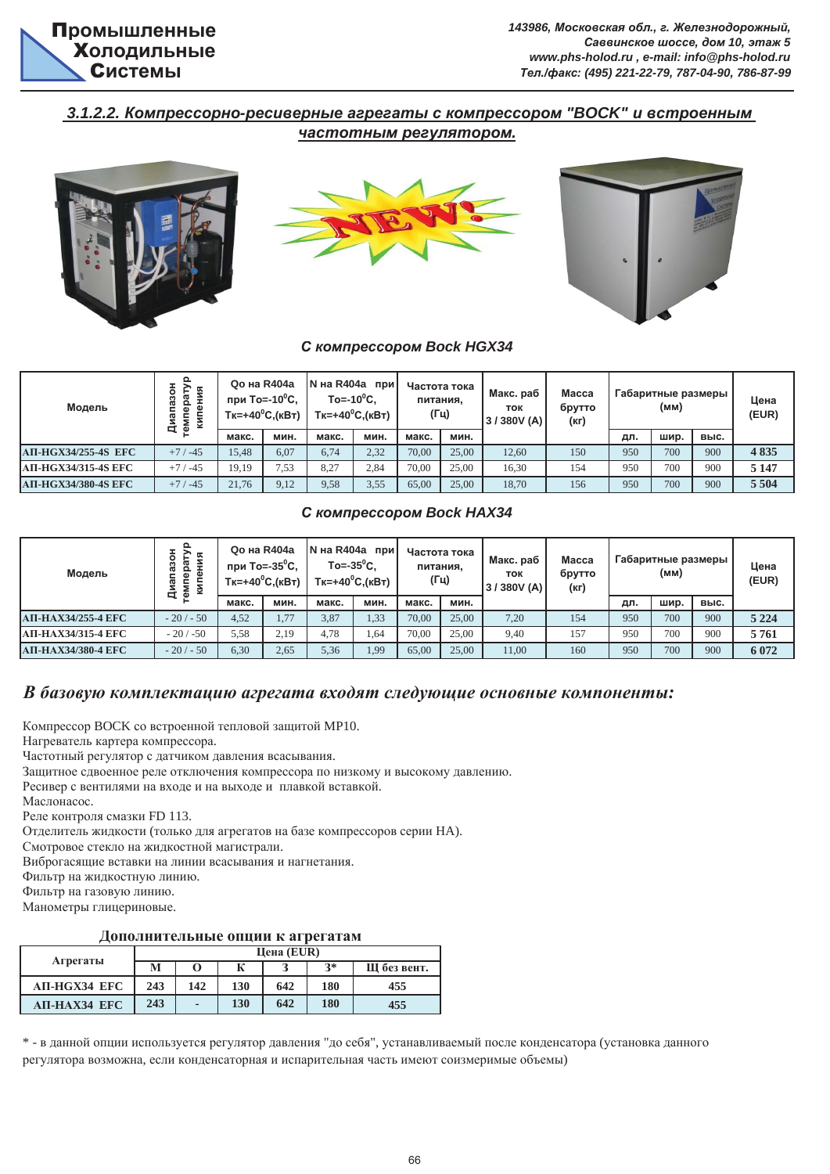

 $143986$ , Московская обл., г. Железнодорожный.  $Ca$ <sup>8</sup> 8 8 2 2 2 2 2 2 2 2 2 2 2 2 2 2 2 2 3 2 2 2 3 2 2 3 2 2 3 2 2 3 2 2 3 2 3 2 3 2 3 2 3 2 3 2 3 2 3 2 3 2 3 2 3 2 3 2 3 2 3 2 3 2 3 2 3 2 3 2 3 2 3 2 3 2 3 2 3 2 3 2 3 2 3 2 3 2 3 2 3 2 3 2 3 2 3 2 3 2 3 2 3 2 3 2 3 *www.phs-holod.ru , e-mail: info@phs-holod.ru Ɍɟɥ./ɮɚɤɫ: (495) 221-22-79, 787-04-90, 786-87-99*

## $3.1.2.2$ . Компрессорно-ресиверные агрегаты с компрессором "ВОСК" и встроенным **частотным регулятором.**







#### $C$  *компрессором Bock HGX34*

| Модель                     | 뙤<br>Ф<br>КNЦ<br>ᄆ | <b>Qo на R404a</b><br>при To=-10 <sup>0</sup> С,<br>$Tk=+40^{\circ}C.(kBT)$ |      | N на R404a при<br>$To = -10^{\circ}C$ . | $Tk=+40^0C.(kBT)$ | (Гц)  | Частота тока<br>питания. | Макс. раб<br><b>TOK</b><br>3/380V (A) | Macca<br>брутто<br>(кг) |     | (MM) | Габаритные размеры | Цена<br>(EUR) |
|----------------------------|--------------------|-----------------------------------------------------------------------------|------|-----------------------------------------|-------------------|-------|--------------------------|---------------------------------------|-------------------------|-----|------|--------------------|---------------|
|                            |                    | макс.                                                                       | мин. | макс.                                   | мин.              | макс. | мин.                     |                                       |                         | ДЛ. | шир. | выс.               |               |
| <b>АП-НGX34/255-4S ЕFC</b> | $+7/ -45$          | 15.48                                                                       | 6.07 | 6.74                                    | 2.32              | 70.00 | 25,00                    | 12.60                                 | 150                     | 950 | 700  | 900                | 4835          |
| <b>АП-НGX34/315-4S ЕFC</b> | $+7/ -45$          | 19.19                                                                       | 7,53 | 8.27                                    | 2,84              | 70.00 | 25,00                    | 16,30                                 | 154                     | 950 | 700  | 900                | 5 1 4 7       |
| <b>АП-НGX34/380-4S EFC</b> | $+7/ -45$          | 21.76                                                                       | 9.12 | 9,58                                    | 3,55              | 65,00 | 25,00                    | 18.70                                 | 156                     | 950 | 700  | 900                | 5 5 0 4       |

#### $C$  *<i>KOMПрессорОМ Bock HAX34*

| Модель             | ۰<br>Φ<br>Š<br>ᢐ<br>–<br>ᄇ | <b>Qo на R404a</b><br>при То=-35 <sup>0</sup> С,<br>$Tk=+40^{\circ}C.(kBT)$ |      | N на R404a при<br>To= $-35^{\circ}$ C. | $Tk=+40^0C.(kBT)$ | (Гц)  | Частота тока<br>питания, | Макс. раб<br>ток<br>3/380V (A) | <b>Macca</b><br>брутто<br>(кг) |     | Габаритные размеры !<br>(MM) |      | Цена<br>(EUR) |
|--------------------|----------------------------|-----------------------------------------------------------------------------|------|----------------------------------------|-------------------|-------|--------------------------|--------------------------------|--------------------------------|-----|------------------------------|------|---------------|
|                    |                            | макс.                                                                       | мин. | макс.                                  | мин.              | макс. | мин.                     |                                |                                | ДЛ. | шир.                         | выс. |               |
| АП-НАХЗ4/255-4 ЕГС | $-20/ - 50$                | 4.52                                                                        | 1.77 | 3,87                                   | 1,33              | 70.00 | 25,00                    | 7,20                           | 154                            | 950 | 700                          | 900  | 5 2 2 4       |
| АП-НАХЗ4/315-4 ЕГС | $-20/50$                   | 5.58                                                                        | 2.19 | 4.78                                   | 1,64              | 70.00 | 25,00                    | 9,40                           | 157                            | 950 | 700                          | 900  | 5761          |
| АП-НАХЗ4/380-4 ЕГС | $-20/ - 50$                | 6,30                                                                        | 2,65 | 5,36                                   | 1,99              | 65,00 | 25,00                    | 11,00                          | 160                            | 950 | 700                          | 900  | 6 0 7 2       |

## **В** базовую комплектацию агрегата входят следующие основные компоненты:

Компрессор ВОСК со встроенной тепловой защитой MP10.

Нагреватель картера компрессора.

Частотный регулятор с датчиком давления всасывания.

Защитное сдвоенное реле отключения компрессора по низкому и высокому давлению.

Ресивер с вентилями на входе и на выходе и плавкой вставкой.

Маслонасос.

Реле контроля смазки FD 113.

Отделитель жидкости (только для агрегатов на базе компрессоров серии НА).

Смотровое стекло на жидкостной магистрали.

Виброгасящие вставки на линии всасывания и нагнетания.

Фильтр на жидкостную линию.

Фильтр на газовую линию.

Манометры глицериновые.

### $\Lambda$ ополнительные опции к агрегатам

|              |     |     |     | Цена $(EUR)$ |      |             |
|--------------|-----|-----|-----|--------------|------|-------------|
| Агрегаты     | M   |     | К   |              | $2*$ | Ш без вент. |
| АП-НGХ34 ЕFC | 243 | 142 | 130 | 642          | 180  | 455         |
| АП-НАХ34 ЕFC | 243 |     | 130 | 642          | 180  | 455         |

\* - в данной опции используется регулятор давления "до себя", устанавливаемый после конденсатора (установка данного регулятора возможна, если конденсаторная и испарительная часть имеют соизмеримые объемы)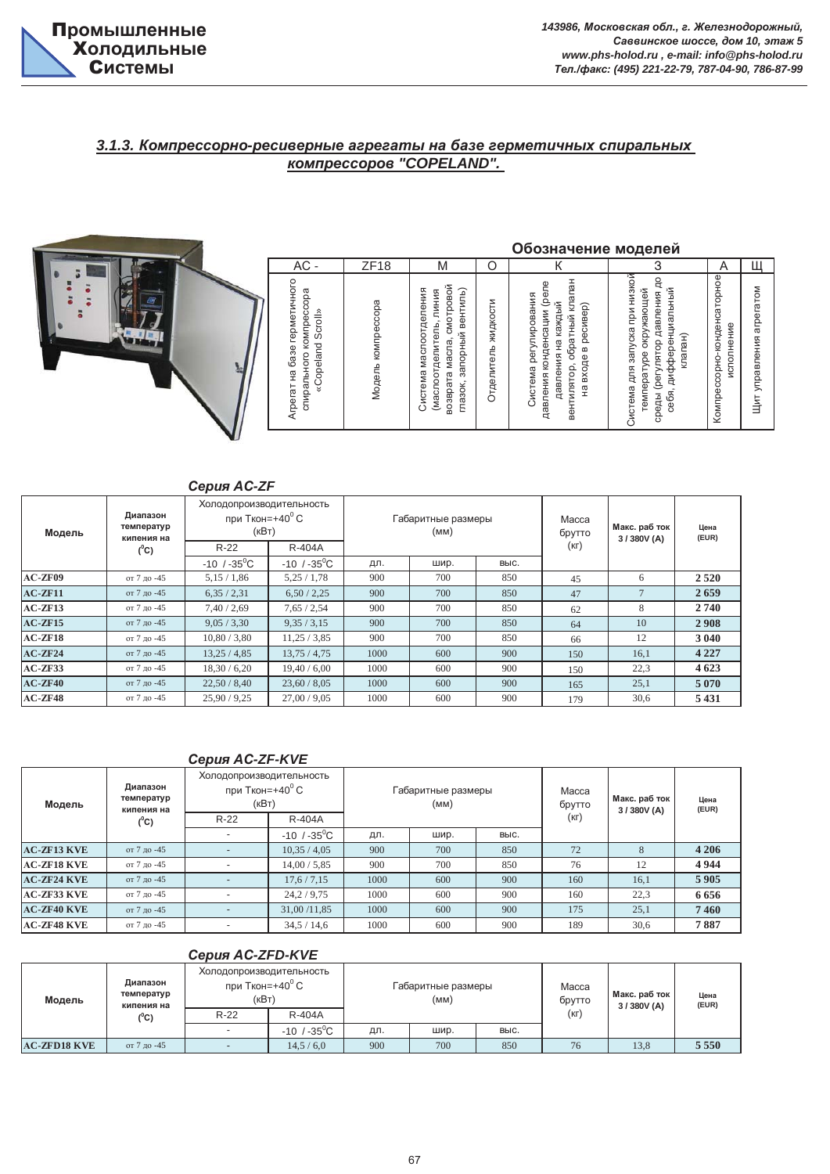

# **3.1.3. Компрессорно-ресиверные агрегаты на базе герметичных спиральных** *ccopoe "COPELAND".*

|         |                          |                                            |                                                                              |                    |                                                                                                                   |                     | Обозначение моделей                                                                                                                                    |                                                                                                                               |                                                      |                                |
|---------|--------------------------|--------------------------------------------|------------------------------------------------------------------------------|--------------------|-------------------------------------------------------------------------------------------------------------------|---------------------|--------------------------------------------------------------------------------------------------------------------------------------------------------|-------------------------------------------------------------------------------------------------------------------------------|------------------------------------------------------|--------------------------------|
|         |                          |                                            | $AC -$                                                                       | ZF18               | M                                                                                                                 | O                   | К                                                                                                                                                      | 3                                                                                                                             | A                                                    | Щ                              |
|         |                          |                                            | Агрегат на базе герметичного<br>спирального компрессора<br>«Copeland Scroll» | Модель компрессора | смотровой<br>запорный вентиль)<br>Система маслоотделения<br>(маслоотделитель, линия<br>возврата масла,<br>глазок, | Отделитель жидкости | вентилятор, обратный клапан<br>конденсации (реле<br>Система регулирования<br>давления на каждый<br>ресивер)<br>$\mathbf{m}$<br>входе<br>давления<br>РÃ | при низкой<br>ę<br>окружающей<br>себя, дифференциальный<br>среды (регулятор давления<br>для запуска<br>remneparype<br>Система | Компрессорно-конденсаторное<br>исполнение<br>клапан) | arperarom<br>управления<br>Цит |
|         | Диапазон                 | Серия AC-ZF<br>Холодопроизводительность    |                                                                              |                    |                                                                                                                   |                     |                                                                                                                                                        |                                                                                                                               |                                                      |                                |
| Модель  | температур<br>кипения на | при Ткон=+40 $\mathrm{^{\circ}C}$<br>(KBT) |                                                                              |                    | Габаритные размеры<br>(MM)                                                                                        |                     | Macca<br>брутто                                                                                                                                        | Макс. раб ток<br>3/380V (A)                                                                                                   | Цена<br>(EUR)                                        |                                |
|         | $(^0C)$                  | $R-22$                                     | R-404A                                                                       |                    |                                                                                                                   |                     | $(K \Gamma)$                                                                                                                                           |                                                                                                                               |                                                      |                                |
|         |                          | $-10$ / $-35^{\circ}$ C                    | $-10$ / $-35^{\circ}$ C                                                      | дл.                | шир.                                                                                                              | выс.                |                                                                                                                                                        |                                                                                                                               |                                                      |                                |
| AC-ZF09 | от 7 до -45              | 5,15/1,86                                  | 5,25/1,78                                                                    | 900                | 700                                                                                                               |                     | 850<br>45                                                                                                                                              | 6                                                                                                                             | 2520                                                 |                                |

|           |                                      | Серия AC-ZF                  |                                                                                              |      |      |      |                 |                            |               |
|-----------|--------------------------------------|------------------------------|----------------------------------------------------------------------------------------------|------|------|------|-----------------|----------------------------|---------------|
| Модель    | Диапазон<br>температур<br>кипения на |                              | Холодопроизводительность<br>при Ткон=+40 $\rm ^{0}$ C<br>Габаритные размеры<br>(KBT)<br>(MM) |      |      |      | Macca<br>брутто | Макс. раб ток<br>3/380V(A) | Цена<br>(EUR) |
|           | $(^0C)$                              | $R-22$                       | R-404A                                                                                       |      |      |      | (KL)            |                            |               |
|           |                                      | $-10$ / $-35$ <sup>o</sup> C | $-10$ / $-35$ <sup>o</sup> C                                                                 | дл.  | шир. | выс. |                 |                            |               |
| AC-ZF09   | от 7 до -45                          | 5,15/1,86                    | 5,25/1,78                                                                                    | 900  | 700  | 850  | 45              | 6                          | 2 5 2 0       |
| $AC-ZF11$ | от 7 до -45                          | 6,35/2,31                    | 6,50/2,25                                                                                    | 900  | 700  | 850  | 47              | $\overline{7}$             | 2659          |
| $AC-ZF13$ | от 7 до -45                          | 7,40/2,69                    | 7,65/2,54                                                                                    | 900  | 700  | 850  | 62              | 8                          | 2740          |
| $AC-ZF15$ | от 7 до -45                          | 9,05/3,30                    | 9,35/3,15                                                                                    | 900  | 700  | 850  | 64              | 10                         | 2908          |
| $AC-ZF18$ | от 7 до -45                          | 10.80 / 3.80                 | 11,25/3,85                                                                                   | 900  | 700  | 850  | 66              | 12                         | 3 0 4 0       |
| $AC-ZF24$ | от 7 до -45                          | 13,25/4,85                   | 13,75/4,75                                                                                   | 1000 | 600  | 900  | 150             | 16,1                       | 4 2 2 7       |
| $AC-ZF33$ | от 7 до -45                          | 18,30 / 6,20                 | 19,40/6,00                                                                                   | 1000 | 600  | 900  | 150             | 22,3                       | 4 6 23        |
| $AC-ZF40$ | от 7 до -45                          | 22,50/8,40                   | 23,60/8,05                                                                                   | 1000 | 600  | 900  | 165             | 25,1                       | 5 0 7 0       |
| $AC-ZF48$ | от 7 до -45                          | 25,90/9,25                   | 27.00 / 9.05                                                                                 | 1000 | 600  | 900  | 179             | 30,6                       | 5 4 3 1       |

#### *ɋɟɪɢɹ Ⱥɋ-ZF-KVE*

| Модель             | Диапазон<br>температур<br>кипения на | Холодопроизводительность<br>при Ткон=+40 $\mathrm{^0}$ С<br>(кВт) |                         |      | Габаритные размеры<br>(MM) |      | Macca<br>брутто | Макс. раб ток<br>3/380V(A) | Цена<br>(EUR) |
|--------------------|--------------------------------------|-------------------------------------------------------------------|-------------------------|------|----------------------------|------|-----------------|----------------------------|---------------|
|                    | $(^0C)$                              | $R-22$                                                            | R-404A                  |      |                            |      | $(K \Gamma)$    |                            |               |
|                    |                                      |                                                                   | $-10$ / $-35^{\circ}$ C | дл.  | шир.                       | BЫC. |                 |                            |               |
| <b>AC-ZF13 KVE</b> | от 7 до -45                          |                                                                   | 10,35/4,05              | 900  | 700                        | 850  | 72              | 8                          | 4 2 0 6       |
| <b>AC-ZF18 KVE</b> | от 7 до -45                          |                                                                   | 14,00/5,85              | 900  | 700                        | 850  | 76              | 12                         | 4944          |
| <b>AC-ZF24 KVE</b> | от 7 до -45                          |                                                                   | 17,6/7,15               | 1000 | 600                        | 900  | 160             | 16,1                       | 5905          |
| <b>AC-ZF33 KVE</b> | от 7 до -45                          |                                                                   | 24,2/9,75               | 1000 | 600                        | 900  | 160             | 22,3                       | 6656          |
| <b>AC-ZF40 KVE</b> | от 7 ло -45                          |                                                                   | 31,00 /11,85            | 1000 | 600                        | 900  | 175             | 25,1                       | 7460          |
| <b>AC-ZF48 KVE</b> | от 7 до -45                          |                                                                   | 34,5/14,6               | 1000 | 600                        | 900  | 189             | 30,6                       | 7887          |

### *ɋɟɪɢɹ Ⱥɋ-ZFD-KVE*

| Модель              | Диапазон<br>температур<br>кипения на | Холодопроизводительность<br>при Ткон=+40 $^{\rm 0}$ С<br>(KBT) |                              |     | Габаритные размеры<br>(мм) |      | Macca<br>брутто | Макс. раб ток<br>3/380V (A) | Цена<br>(EUR) |
|---------------------|--------------------------------------|----------------------------------------------------------------|------------------------------|-----|----------------------------|------|-----------------|-----------------------------|---------------|
|                     | $(^0C)$                              | $R-22$                                                         | R-404A                       |     |                            |      | $(K\Gamma)$     |                             |               |
|                     |                                      |                                                                | $-10$ / $-35$ <sup>o</sup> C | ДЛ. | шир.                       | BЫC. |                 |                             |               |
| <b>AC-ZFD18 KVE</b> | от 7 до -45                          |                                                                | 14,5/6,0                     | 900 | 700                        | 850  | 76              | 13,8                        | 5 5 5 0       |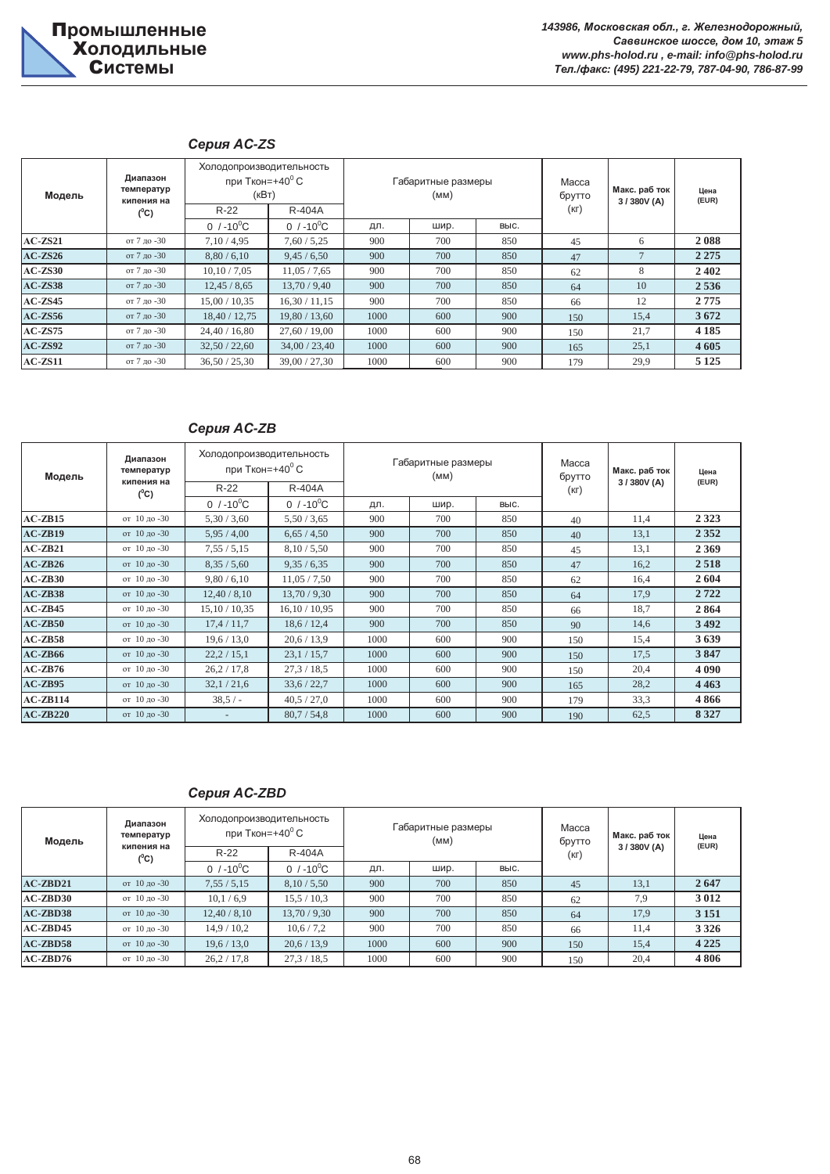## *ɋɟɪɢɹ Ⱥɋ-ZS*

| Модель    | Диапазон<br>температур<br>кипения на | Холодопроизводительность<br>при Ткон=+40 $\mathrm{^0}$ С<br>(KBT) |                 |      | Габаритные размеры<br>(MM) |      | Macca<br>брутто | Макс. раб ток<br>3/380V(A) | Цена<br>(EUR) |
|-----------|--------------------------------------|-------------------------------------------------------------------|-----------------|------|----------------------------|------|-----------------|----------------------------|---------------|
|           | $(^0C)$                              | $R-22$                                                            | R-404A          |      |                            |      |                 |                            |               |
|           |                                      | 0 $/ -10^{0}C$                                                    | 0 $/ -10^{0}$ C | дл.  | шир.                       | BЫC. |                 |                            |               |
| $AC-ZS21$ | от 7 ло -30                          | 7,10/4,95                                                         | 7,60/5,25       | 900  | 700                        | 850  | 45              | 6                          | 2088          |
| $AC-ZS26$ | от 7 до -30                          | 8,80/6,10                                                         | 9,45/6,50       | 900  | 700                        | 850  | 47              | $\overline{7}$             | 2 2 7 5       |
| $AC-ZS30$ | от 7 до -30                          | 10,10/7,05                                                        | 11,05/7,65      | 900  | 700                        | 850  | 62              | 8                          | 2402          |
| $AC-ZS38$ | от 7 до -30                          | 12,45/8,65                                                        | 13,70/9,40      | 900  | 700                        | 850  | 64              | 10                         | 2 5 3 6       |
| $AC-ZS45$ | от 7 до -30                          | 15,00/10,35                                                       | 16,30/11,15     | 900  | 700                        | 850  | 66              | 12                         | 2775          |
| $AC-ZS56$ | от 7 до -30                          | 18,40 / 12,75                                                     | 19,80/13,60     | 1000 | 600                        | 900  | 150             | 15,4                       | 3672          |
| $AC-ZS75$ | от 7 до -30                          | 24.40 / 16.80                                                     | 27,60/19,00     | 1000 | 600                        | 900  | 150             | 21,7                       | 4 1 8 5       |
| $AC-ZS92$ | от 7 до -30                          | 32,50/22,60                                                       | 34,00/23,40     | 1000 | 600                        | 900  | 165             | 25,1                       | 4 6 0 5       |
| $AC-ZS11$ | от 7 до -30                          | 36,50/25,30                                                       | 39,00 / 27,30   | 1000 | 600                        | 900  | 179             | 29,9                       | 5 1 2 5       |

#### Серия AC-ZB

| Модель         | Диапазон<br>температур<br>кипения на | Холодопроизводительность<br>при Ткон=+40 $\mathrm{^{\circ}C}$ |                 |      | Габаритные размеры<br>(MM) |      | Macca<br>брутто | Макс. раб ток<br>3/380V(A) | Цена<br>(EUR) |
|----------------|--------------------------------------|---------------------------------------------------------------|-----------------|------|----------------------------|------|-----------------|----------------------------|---------------|
|                | $(^0C)$                              | $R-22$                                                        | R-404A          |      |                            |      | (KL)            |                            |               |
|                |                                      | 0 $/ -10^{0}C$                                                | 0 $/ -10^{0}$ C | дл.  | шир.                       | выс. |                 |                            |               |
| $AC-ZB15$      | от 10 до -30                         | 5,30/3,60                                                     | 5,50/3,65       | 900  | 700                        | 850  | 40              | 11,4                       | 2 3 2 3       |
| $AC$ - $ZB19$  | от 10 до -30                         | 5,95/4,00                                                     | 6,65/4,50       | 900  | 700                        | 850  | 40              | 13,1                       | 2 3 5 2       |
| $AC$ - $ZB21$  | от 10 до -30                         | 7,55/5,15                                                     | 8,10/5,50       | 900  | 700                        | 850  | 45              | 13,1                       | 2 3 6 9       |
| $AC$ - $ZB26$  | от 10 до -30                         | 8,35/5,60                                                     | 9,35/6,35       | 900  | 700                        | 850  | 47              | 16,2                       | 2518          |
| $AC$ - $ZB30$  | от 10 до -30                         | 9,80/6,10                                                     | 11,05/7,50      | 900  | 700                        | 850  | 62              | 16,4                       | 2604          |
| $AC$ - $ZB38$  | от 10 до -30                         | 12,40/8,10                                                    | 13,70/9,30      | 900  | 700                        | 850  | 64              | 17,9                       | 2722          |
| $AC$ - $ZB$ 45 | от 10 до -30                         | 15,10/10,35                                                   | 16.10 / 10.95   | 900  | 700                        | 850  | 66              | 18,7                       | 2864          |
| $AC$ - $ZB50$  | от 10 до -30                         | 17,4/11,7                                                     | 18,6/12,4       | 900  | 700                        | 850  | 90              | 14,6                       | 3492          |
| $AC$ - $ZB58$  | от 10 до -30                         | 19,6/13,0                                                     | 20,6/13,9       | 1000 | 600                        | 900  | 150             | 15,4                       | 3639          |
| $AC$ - $ZB66$  | от 10 до -30                         | 22,2/15,1                                                     | 23,1/15,7       | 1000 | 600                        | 900  | 150             | 17,5                       | 3847          |
| $AC-ZB76$      | от 10 до -30                         | 26,2/17,8                                                     | 27.3 / 18.5     | 1000 | 600                        | 900  | 150             | 20,4                       | 4 0 9 0       |
| $AC-ZB95$      | от 10 до -30                         | 32,1/21,6                                                     | 33,6/22,7       | 1000 | 600                        | 900  | 165             | 28,2                       | 4 4 6 3       |
| $AC$ - $ZB114$ | от 10 до -30                         | $38.5/-$                                                      | 40.5 / 27.0     | 1000 | 600                        | 900  | 179             | 33,3                       | 4866          |
| $AC$ - $ZB220$ | от 10 до -30                         |                                                               | 80,7/54,8       | 1000 | 600                        | 900  | 190             | 62,5                       | 8 3 2 7       |

# *ɋɟɪɢɹ Ⱥɋ-ZBD*

| Модель         | Холодопроизводительность<br>Диапазон<br>при Ткон=+40 $^{\rm o}$ С<br>температур<br>кипения на<br>$R-22$<br>R-404A |                 |                 |      | Габаритные размеры<br>(MM) |      | Macca<br>брутто | Макс. раб ток<br>3/380V(A) | Цена<br>(EUR) |
|----------------|-------------------------------------------------------------------------------------------------------------------|-----------------|-----------------|------|----------------------------|------|-----------------|----------------------------|---------------|
|                | $(^0C)$                                                                                                           | 0 $/ -10^{0}$ C |                 |      |                            | BЫC. | $(K \Gamma)$    |                            |               |
|                |                                                                                                                   |                 | 0 $/ -10^{0}$ C | ДЛ.  | шир.                       |      |                 |                            |               |
| $AC$ - $ZBD21$ | от 10 до -30                                                                                                      | 7,55/5,15       | 8,10/5,50       | 900  | 700                        | 850  | 45              | 13,1                       | 2647          |
| $AC$ - $ZBD30$ | от 10 до -30                                                                                                      | 10,1/6,9        | 15,5/10,3       | 900  | 700                        | 850  | 62              | 7.9                        | 3012          |
| $AC$ - $ZBD38$ | от 10 до -30                                                                                                      | 12,40/8,10      | 13,70/9,30      | 900  | 700                        | 850  | 64              | 17,9                       | 3 1 5 1       |
| $AC$ - $ZBD45$ | от 10 до -30                                                                                                      | 14,9/10,2       | 10,6/7,2        | 900  | 700                        | 850  | 66              | 11,4                       | 3 3 2 6       |
| $AC$ - $ZBD58$ | от 10 до -30                                                                                                      | 19,6/13,0       | 20,6/13,9       | 1000 | 600                        | 900  | 150             | 15,4                       | 4 2 2 5       |
| $AC$ - $ZBD76$ | от 10 до -30                                                                                                      | 26,2/17,8       | 27.3 / 18.5     | 1000 | 600                        | 900  | 150             | 20,4                       | 4806          |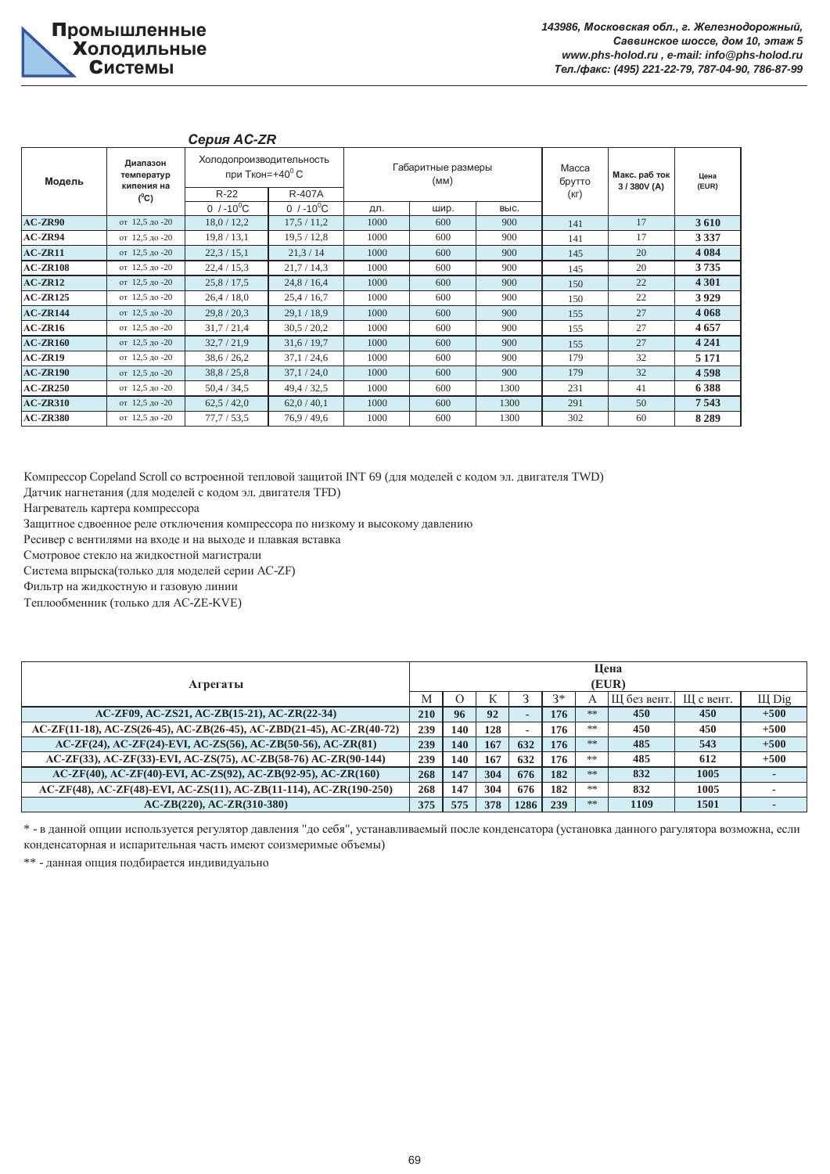| Модель          | Диапазон<br>температур<br>кипения на<br>$(^0C)$ | Холодопроизводительность<br>при Ткон=+40 $\mathrm{^0}$ С |                                  |      | Габаритные размеры<br>(MM) |      | Macca<br>брутто | Макс. раб ток<br>3/380V (A) | Цена<br>(EUR) |  |
|-----------------|-------------------------------------------------|----------------------------------------------------------|----------------------------------|------|----------------------------|------|-----------------|-----------------------------|---------------|--|
|                 |                                                 | $R-22$<br>0 $/ -10^{0}$ C                                | <b>R-407A</b><br>0 $/ -10^{0}$ C | ДЛ.  | шир.                       | выс. | (кг)            |                             |               |  |
| $AC-ZR90$       | от 12.5 до -20                                  | 18,0/12,2                                                | 17,5/11,2                        | 1000 | 600                        | 900  | 141             | 17                          | 3610          |  |
| $AC-ZR94$       | от 12,5 до -20                                  | 19,8/13,1                                                | 19,5/12,8                        | 1000 | 600                        | 900  | 141             | 17                          | 3 3 3 7       |  |
| $AC-ZR11$       | от 12.5 до -20                                  | 22,3/15,1                                                | 21,3/14                          | 1000 | 600                        | 900  | 145             | 20                          | 4 0 8 4       |  |
| <b>AC-ZR108</b> | от 12,5 до -20                                  | 22,4/15,3                                                | 21,7/14,3                        | 1000 | 600                        | 900  | 145             | 20                          | 3735          |  |
| $AC-ZR12$       | от 12.5 до -20                                  | 25,8/17,5                                                | 24,8 / 16,4                      | 1000 | 600                        | 900  | 150             | 22                          | 4 3 0 1       |  |
| $AC-ZR125$      | от 12,5 до -20                                  | 26,4/18,0                                                | 25,4/16,7                        | 1000 | 600                        | 900  | 150             | 22                          | 3929          |  |
| $AC-ZR144$      | от 12,5 до -20                                  | 29,8/20,3                                                | 29.1 / 18.9                      | 1000 | 600                        | 900  | 155             | 27                          | 4 0 6 8       |  |
| $AC-ZR16$       | от 12,5 до -20                                  | 31,7/21,4                                                | 30,5/20,2                        | 1000 | 600                        | 900  | 155             | 27                          | 4657          |  |
| <b>AC-ZR160</b> | от 12,5 до -20                                  | 32,7/21,9                                                | 31,6/19,7                        | 1000 | 600                        | 900  | 155             | 27                          | 4 2 4 1       |  |
| $AC-ZR19$       | от 12,5 до -20                                  | 38,6/26,2                                                | 37,1/24,6                        | 1000 | 600                        | 900  | 179             | 32                          | 5 1 7 1       |  |
| <b>AC-ZR190</b> | от 12,5 до -20                                  | 38,8/25,8                                                | 37,1/24,0                        | 1000 | 600                        | 900  | 179             | 32                          | 4598          |  |
| $AC-ZR250$      | от 12,5 до -20                                  | 50,4/34,5                                                | 49,4/32,5                        | 1000 | 600                        | 1300 | 231             | 41                          | 6388          |  |
| <b>AC-ZR310</b> | от 12,5 до -20                                  | 62,5/42,0                                                | 62,0/40,1                        | 1000 | 600                        | 1300 | 291             | 50                          | 7543          |  |
| <b>AC-ZR380</b> | от 12,5 до -20                                  | 77,7/53,5                                                | 76.9 / 49.6                      | 1000 | 600                        | 1300 | 302             | 60                          | 8 2 8 9       |  |

#### *ɋɟɪɢɹ Ⱥɋ-ZR*

Компрессор Copeland Scroll со встроенной тепловой защитой INT 69 (для моделей с кодом эл. двигателя TWD)

Датчик нагнетания (для моделей с кодом эл. двигателя TFD)

Нагреватель картера компрессора

Защитное сдвоенное реле отключения компрессора по низкому и высокому давлению

Ресивер с вентилями на входе и на выходе и плавкая вставка

Смотровое стекло на жидкостной магистрали

Система впрыска(только для моделей серии АС-ZF)

Фильтр на жидкостную и газовую линии

Теплообменник (только для AC-ZE-KVE)

| Агрегаты                                                              |     |     | Цена<br>(EUR) |                          |      |    |            |           |        |  |  |  |
|-----------------------------------------------------------------------|-----|-----|---------------|--------------------------|------|----|------------|-----------|--------|--|--|--|
|                                                                       | M   |     | IX.           |                          | $3*$ | A  | Ш без вент | Ш с вент. | Щ Dig  |  |  |  |
| AC-ZF09, AC-ZS21, AC-ZB(15-21), AC-ZR(22-34)                          | 210 | 96  | 92            | $\overline{\phantom{a}}$ | 176  | ** | 450        | 450       | $+500$ |  |  |  |
| AC-ZF(11-18), AC-ZS(26-45), AC-ZB(26-45), AC-ZBD(21-45), AC-ZR(40-72) | 239 | 140 | 128           | $\overline{\phantom{a}}$ | 176  | ** | 450        | 450       | $+500$ |  |  |  |
| AC-ZF(24), AC-ZF(24)-EVI, AC-ZS(56), AC-ZB(50-56), AC-ZR(81)          | 239 | 140 | 167           | 632                      | 176  | ** | 485        | 543       | $+500$ |  |  |  |
| AC-ZF(33), AC-ZF(33)-EVI, AC-ZS(75), AC-ZB(58-76) AC-ZR(90-144)       | 239 | 140 | 167           | 632                      | 176  | 米米 | 485        | 612       | $+500$ |  |  |  |
| AC-ZF(40), AC-ZF(40)-EVI, AC-ZS(92), AC-ZB(92-95), AC-ZR(160)         | 268 | 147 | 304           | 676                      | 182  | ** | 832        | 1005      |        |  |  |  |
| AC-ZF(48), AC-ZF(48)-EVI, AC-ZS(11), AC-ZB(11-114), AC-ZR(190-250)    | 268 | 147 | 304           | 676                      | 182  | ** | 832        | 1005      |        |  |  |  |
| $AC-ZB(220)$ , $AC-ZR(310-380)$                                       | 375 | 575 | 378           | 1286                     | 239  | ** | 1109       | 1501      |        |  |  |  |

\* - в данной опции используется регулятор давления "до себя", устанавливаемый после конденсатора (установка данного рагулятора возможна, если конденсаторная и испарительная часть имеют соизмеримые объемы)

\*\* - данная опция подбирается индивидуально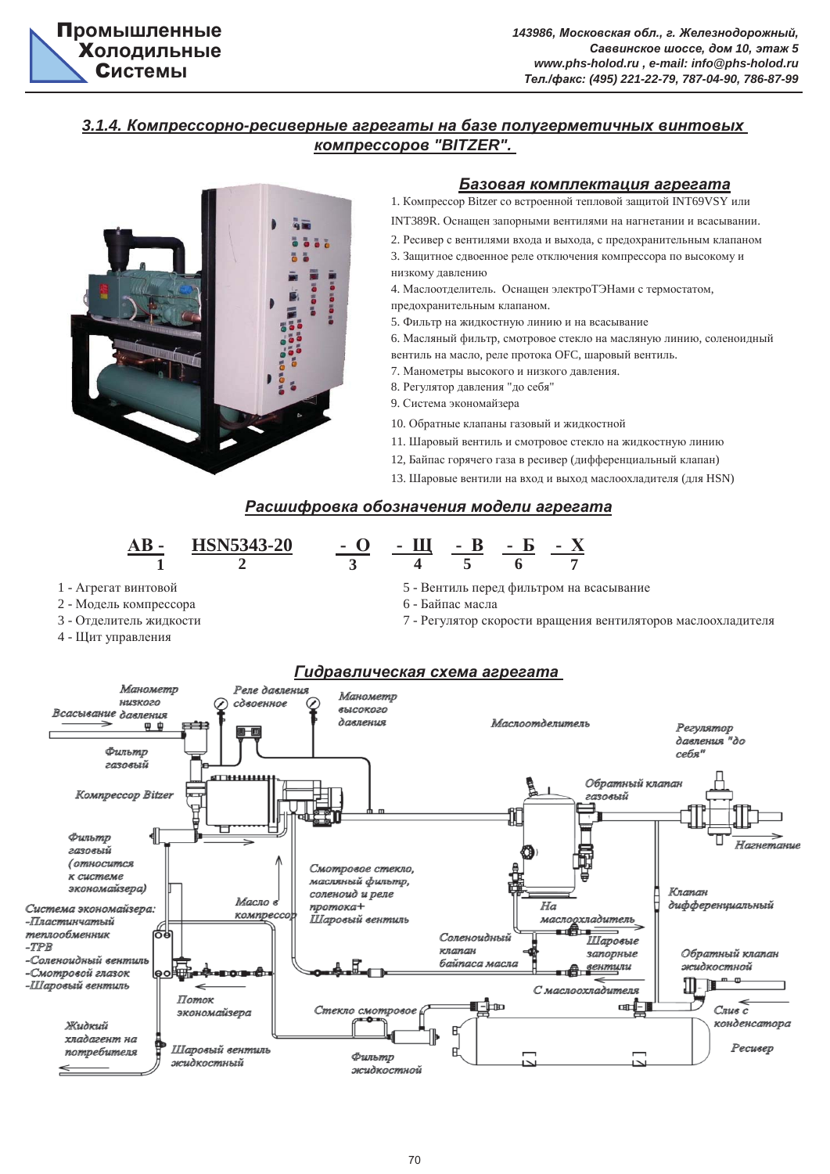# 3.1.4. Компрессорно-ресиверные агрегаты на базе полугерметичных винтовых  $$



#### **Базовая комплектация агрегата**

1. Компрессор Bitzer со встроенной тепловой защитой INT69VSY или

INT389R. Оснащен запорными вентилями на нагнетании и всасывании.

- 2. Ресивер с вентилями входа и выхода, с предохранительным клапаном
- низкому давлению 3. Защитное сдвоенное реле отключения компрессора по высокому и
- 4. Маслоотделитель. Оснащен электроТЭНами с термостатом,
- предохранительным клапаном.
- 5. Фильтр на жидкостную линию и на всасывание 6. Масляный фильтр, смотровое стекло на масляную линию, соленоидный вентиль на масло, реле протока ОFC, шаровый вентиль.
- 7. Манометры высокого и низкого давления.
- 8. Регулятор давления "до себя"
- 9. Система экономайзера
- 10. Обратные клапаны газовый и жилкостной
- 11. Шаровый вентиль и смотровое стекло на жидкостную линию
- 12, Байпас горячего газа в ресивер (дифференциальный клапан)
- 13. Шаровые вентили на вход и выход маслоохладителя (для HSN)

# Расшифровка обозначения модели агрегата

**HSN5343-20** - <u>**O** -  $\mu$  - B - S - X</u> **AB** - **HSN5343-20 1** 2 3 4 5 6 7 5 - Вентиль перед фильтром на всасывание 1 - Агрегат винтовой 2 - Модель компрессора 6 - Байпас масла 3 - Отделитель жидкости 7 - Регулятор скорости вращения вентиляторов маслоохладителя 4 - Щит управления  $I$ **идравлическая схема агрегата** Манометр Репе давления Манометр HUSKO20 сдвоенное 6 **высокого** Всасывание давления дляпения Маслоотделитель 界 中 Регулятор давления "до Фильтр себя" газовый Обратный клапан Компрессор Bitzer 2030 AHI